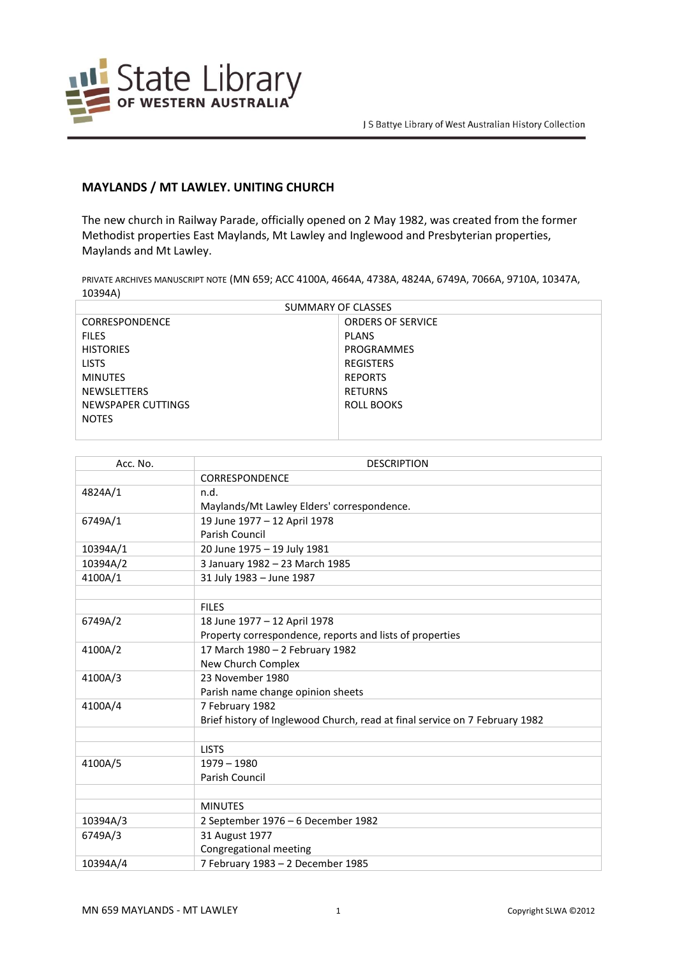

## **MAYLANDS / MT LAWLEY. UNITING CHURCH**

The new church in Railway Parade, officially opened on 2 May 1982, was created from the former Methodist properties East Maylands, Mt Lawley and Inglewood and Presbyterian properties, Maylands and Mt Lawley.

PRIVATE ARCHIVES MANUSCRIPT NOTE (MN 659; ACC 4100A, 4664A, 4738A, 4824A, 6749A, 7066A, 9710A, 10347A, 10394A)

| SUMMARY OF CLASSES |                          |  |
|--------------------|--------------------------|--|
| CORRESPONDENCE     | <b>ORDERS OF SERVICE</b> |  |
| <b>FILES</b>       | <b>PLANS</b>             |  |
| <b>HISTORIES</b>   | PROGRAMMES               |  |
| <b>LISTS</b>       | <b>REGISTERS</b>         |  |
| <b>MINUTES</b>     | <b>REPORTS</b>           |  |
| <b>NEWSLETTERS</b> | RETURNS                  |  |
| NEWSPAPER CUTTINGS | ROLL BOOKS               |  |
| <b>NOTES</b>       |                          |  |
|                    |                          |  |

| Acc. No. | <b>DESCRIPTION</b>                                                          |
|----------|-----------------------------------------------------------------------------|
|          | <b>CORRESPONDENCE</b>                                                       |
| 4824A/1  | n.d.                                                                        |
|          | Maylands/Mt Lawley Elders' correspondence.                                  |
| 6749A/1  | 19 June 1977 - 12 April 1978                                                |
|          | Parish Council                                                              |
| 10394A/1 | 20 June 1975 - 19 July 1981                                                 |
| 10394A/2 | 3 January 1982 - 23 March 1985                                              |
| 4100A/1  | 31 July 1983 - June 1987                                                    |
|          |                                                                             |
|          | <b>FILES</b>                                                                |
| 6749A/2  | 18 June 1977 - 12 April 1978                                                |
|          | Property correspondence, reports and lists of properties                    |
| 4100A/2  | 17 March 1980 - 2 February 1982                                             |
|          | New Church Complex                                                          |
| 4100A/3  | 23 November 1980                                                            |
|          | Parish name change opinion sheets                                           |
| 4100A/4  | 7 February 1982                                                             |
|          | Brief history of Inglewood Church, read at final service on 7 February 1982 |
|          |                                                                             |
|          | <b>LISTS</b>                                                                |
| 4100A/5  | $1979 - 1980$                                                               |
|          | Parish Council                                                              |
|          |                                                                             |
|          | <b>MINUTES</b>                                                              |
| 10394A/3 | 2 September 1976 - 6 December 1982                                          |
| 6749A/3  | 31 August 1977                                                              |
|          | Congregational meeting                                                      |
| 10394A/4 | 7 February 1983 - 2 December 1985                                           |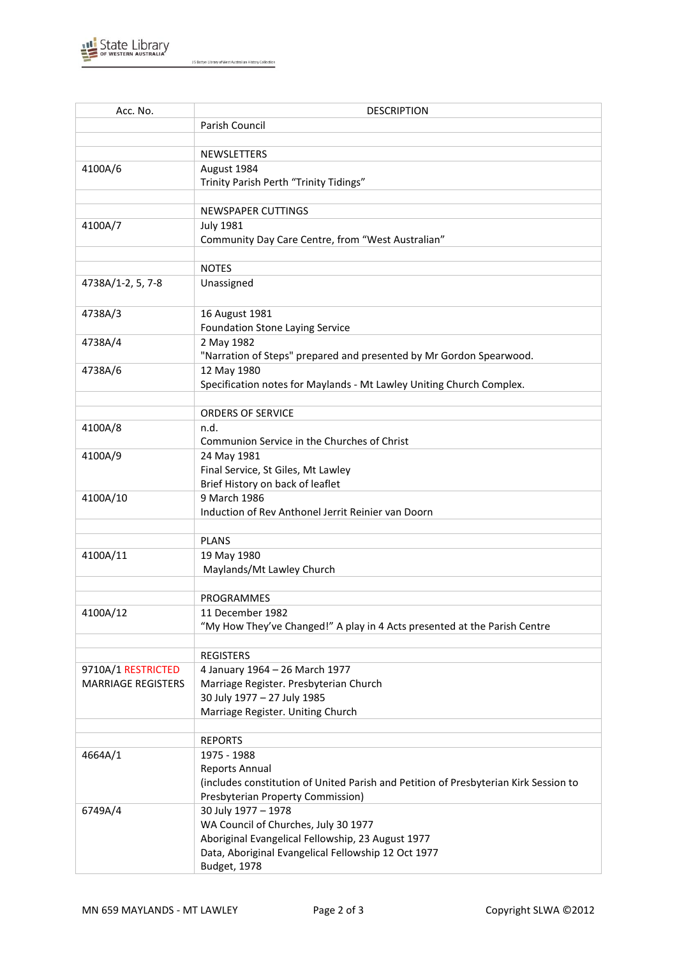

J S Battye Library of West Australian History Collection

| Acc. No.                  | <b>DESCRIPTION</b>                                                                   |
|---------------------------|--------------------------------------------------------------------------------------|
|                           | Parish Council                                                                       |
|                           |                                                                                      |
|                           | <b>NEWSLETTERS</b>                                                                   |
| 4100A/6                   | August 1984                                                                          |
|                           | Trinity Parish Perth "Trinity Tidings"                                               |
|                           |                                                                                      |
|                           | NEWSPAPER CUTTINGS                                                                   |
| 4100A/7                   | <b>July 1981</b>                                                                     |
|                           | Community Day Care Centre, from "West Australian"                                    |
|                           |                                                                                      |
|                           | <b>NOTES</b>                                                                         |
| 4738A/1-2, 5, 7-8         | Unassigned                                                                           |
|                           |                                                                                      |
| 4738A/3                   | 16 August 1981                                                                       |
|                           | <b>Foundation Stone Laying Service</b>                                               |
| 4738A/4                   | 2 May 1982                                                                           |
|                           | "Narration of Steps" prepared and presented by Mr Gordon Spearwood.                  |
| 4738A/6                   | 12 May 1980                                                                          |
|                           | Specification notes for Maylands - Mt Lawley Uniting Church Complex.                 |
|                           |                                                                                      |
|                           | <b>ORDERS OF SERVICE</b>                                                             |
| 4100A/8                   | n.d.                                                                                 |
|                           | Communion Service in the Churches of Christ                                          |
| 4100A/9                   | 24 May 1981                                                                          |
|                           | Final Service, St Giles, Mt Lawley                                                   |
|                           | Brief History on back of leaflet                                                     |
| 4100A/10                  | 9 March 1986                                                                         |
|                           | Induction of Rev Anthonel Jerrit Reinier van Doorn                                   |
|                           | <b>PLANS</b>                                                                         |
| 4100A/11                  | 19 May 1980                                                                          |
|                           | Maylands/Mt Lawley Church                                                            |
|                           |                                                                                      |
|                           | PROGRAMMES                                                                           |
| 4100A/12                  | 11 December 1982                                                                     |
|                           | "My How They've Changed!" A play in 4 Acts presented at the Parish Centre            |
|                           |                                                                                      |
|                           | <b>REGISTERS</b>                                                                     |
| 9710A/1 RESTRICTED        | 4 January 1964 - 26 March 1977                                                       |
| <b>MARRIAGE REGISTERS</b> | Marriage Register. Presbyterian Church                                               |
|                           | 30 July 1977 - 27 July 1985                                                          |
|                           | Marriage Register. Uniting Church                                                    |
|                           |                                                                                      |
|                           | <b>REPORTS</b>                                                                       |
| 4664A/1                   | 1975 - 1988                                                                          |
|                           | <b>Reports Annual</b>                                                                |
|                           | (includes constitution of United Parish and Petition of Presbyterian Kirk Session to |
|                           | Presbyterian Property Commission)                                                    |
| 6749A/4                   | 30 July 1977 - 1978                                                                  |
|                           | WA Council of Churches, July 30 1977                                                 |
|                           | Aboriginal Evangelical Fellowship, 23 August 1977                                    |
|                           | Data, Aboriginal Evangelical Fellowship 12 Oct 1977                                  |
|                           | Budget, 1978                                                                         |